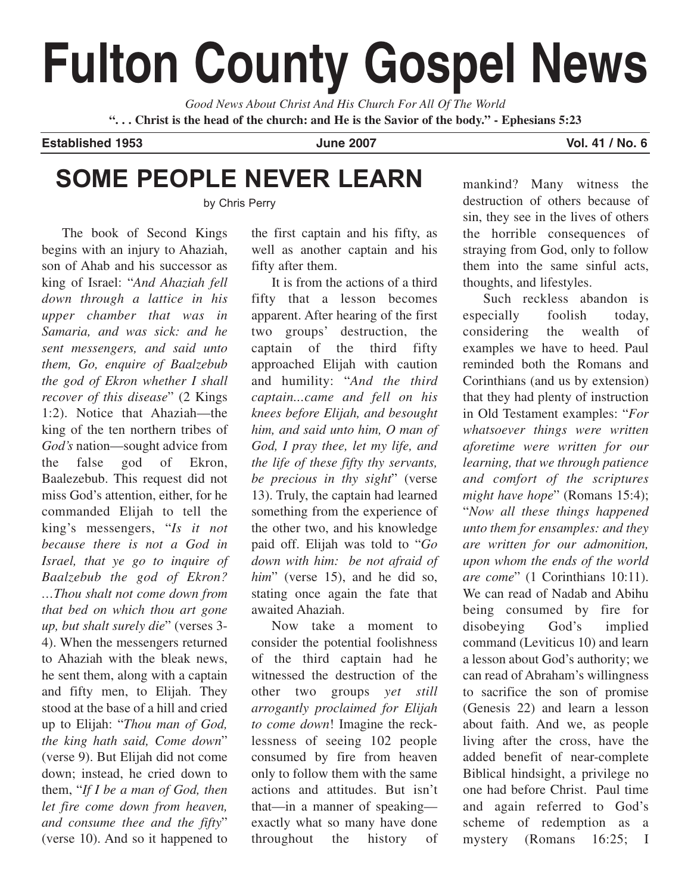# **Fulton County Gospel News**

*Good News About Christ And His Church For All Of The World* **". . . Christ is the head of the church: and He is the Savior of the body." - Ephesians 5:23**

**Established 1953 June 2007 Vol. 41 / No. 6**

# **SOME PEOPLE NEVER LEARN**

by Chris Perry

The book of Second Kings begins with an injury to Ahaziah, son of Ahab and his successor as king of Israel: "*And Ahaziah fell down through a lattice in his upper chamber that was in Samaria, and was sick: and he sent messengers, and said unto them, Go, enquire of Baalzebub the god of Ekron whether I shall recover of this disease*" (2 Kings 1:2). Notice that Ahaziah—the king of the ten northern tribes of *God's* nation—sought advice from the false god of Ekron, Baalezebub. This request did not miss God's attention, either, for he commanded Elijah to tell the king's messengers, "*Is it not because there is not a God in Israel, that ye go to inquire of Baalzebub the god of Ekron? …Thou shalt not come down from that bed on which thou art gone up, but shalt surely die*" (verses 3- 4). When the messengers returned to Ahaziah with the bleak news, he sent them, along with a captain and fifty men, to Elijah. They stood at the base of a hill and cried up to Elijah: "*Thou man of God, the king hath said, Come down*" (verse 9). But Elijah did not come down; instead, he cried down to them, "*If I be a man of God, then let fire come down from heaven, and consume thee and the fifty*" (verse 10). And so it happened to the first captain and his fifty, as well as another captain and his fifty after them.

It is from the actions of a third fifty that a lesson becomes apparent. After hearing of the first two groups' destruction, the captain of the third fifty approached Elijah with caution and humility: "*And the third captain...came and fell on his knees before Elijah, and besought him, and said unto him, O man of God, I pray thee, let my life, and the life of these fifty thy servants, be precious in thy sight*" (verse 13). Truly, the captain had learned something from the experience of the other two, and his knowledge paid off. Elijah was told to "*Go down with him: be not afraid of* him" (verse 15), and he did so, stating once again the fate that awaited Ahaziah.

Now take a moment to consider the potential foolishness of the third captain had he witnessed the destruction of the other two groups *yet still arrogantly proclaimed for Elijah to come down*! Imagine the recklessness of seeing 102 people consumed by fire from heaven only to follow them with the same actions and attitudes. But isn't that—in a manner of speaking exactly what so many have done throughout the history of mankind? Many witness the destruction of others because of sin, they see in the lives of others the horrible consequences of straying from God, only to follow them into the same sinful acts, thoughts, and lifestyles.

Such reckless abandon is especially foolish today, considering the wealth of examples we have to heed. Paul reminded both the Romans and Corinthians (and us by extension) that they had plenty of instruction in Old Testament examples: "*For whatsoever things were written aforetime were written for our learning, that we through patience and comfort of the scriptures might have hope*" (Romans 15:4); "*Now all these things happened unto them for ensamples: and they are written for our admonition, upon whom the ends of the world are come*" (1 Corinthians 10:11). We can read of Nadab and Abihu being consumed by fire for disobeying God's implied command (Leviticus 10) and learn a lesson about God's authority; we can read of Abraham's willingness to sacrifice the son of promise (Genesis 22) and learn a lesson about faith. And we, as people living after the cross, have the added benefit of near-complete Biblical hindsight, a privilege no one had before Christ. Paul time and again referred to God's scheme of redemption as a mystery (Romans 16:25; I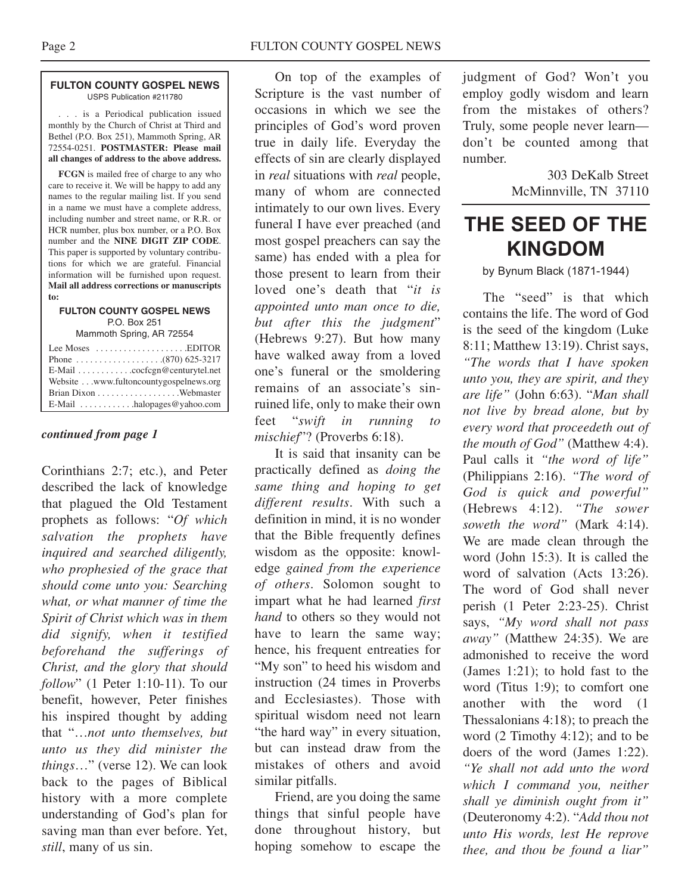#### **FULTON COUNTY GOSPEL NEWS** USPS Publication #211780

. . . is a Periodical publication issued monthly by the Church of Christ at Third and Bethel (P.O. Box 251), Mammoth Spring, AR 72554-0251. **POSTMASTER: Please mail all changes of address to the above address.**

**FCGN** is mailed free of charge to any who care to receive it. We will be happy to add any names to the regular mailing list. If you send in a name we must have a complete address, including number and street name, or R.R. or HCR number, plus box number, or a P.O. Box number and the **NINE DIGIT ZIP CODE**. This paper is supported by voluntary contributions for which we are grateful. Financial information will be furnished upon request. **Mail all address corrections or manuscripts to:**

#### **FULTON COUNTY GOSPEL NEWS** P.O. Box 251

Mammoth Spring, AR 72554

| Lee Moses $\dots\dots\dots\dots\dots\dots$ . EDITOR       |
|-----------------------------------------------------------|
|                                                           |
| $E$ -Mail $\ldots \ldots \ldots$ . cocfcgn@centurytel.net |
| Website www.fultoncountygospelnews.org                    |
|                                                           |
| E-Mail $\dots \dots \dots$ halopages @ yahoo.com          |

#### *continued from page 1*

Corinthians 2:7; etc.), and Peter described the lack of knowledge that plagued the Old Testament prophets as follows: "*Of which salvation the prophets have inquired and searched diligently, who prophesied of the grace that should come unto you: Searching what, or what manner of time the Spirit of Christ which was in them did signify, when it testified beforehand the sufferings of Christ, and the glory that should follow*" (1 Peter 1:10-11). To our benefit, however, Peter finishes his inspired thought by adding that "…*not unto themselves, but unto us they did minister the things*…" (verse 12). We can look back to the pages of Biblical history with a more complete understanding of God's plan for saving man than ever before. Yet, *still*, many of us sin.

On top of the examples of Scripture is the vast number of occasions in which we see the principles of God's word proven true in daily life. Everyday the effects of sin are clearly displayed in *real* situations with *real* people, many of whom are connected intimately to our own lives. Every funeral I have ever preached (and most gospel preachers can say the same) has ended with a plea for those present to learn from their loved one's death that "*it is appointed unto man once to die, but after this the judgment*" (Hebrews 9:27). But how many have walked away from a loved one's funeral or the smoldering remains of an associate's sinruined life, only to make their own feet "*swift in running to mischief*"? (Proverbs 6:18).

It is said that insanity can be practically defined as *doing the same thing and hoping to get different results*. With such a definition in mind, it is no wonder that the Bible frequently defines wisdom as the opposite: knowledge *gained from the experience of others*. Solomon sought to impart what he had learned *first hand* to others so they would not have to learn the same way; hence, his frequent entreaties for "My son" to heed his wisdom and instruction (24 times in Proverbs and Ecclesiastes). Those with spiritual wisdom need not learn "the hard way" in every situation, but can instead draw from the mistakes of others and avoid similar pitfalls.

Friend, are you doing the same things that sinful people have done throughout history, but hoping somehow to escape the judgment of God? Won't you employ godly wisdom and learn from the mistakes of others? Truly, some people never learn don't be counted among that number.

> 303 DeKalb Street McMinnville, TN 37110

## **THE SEED OF THE KINGDOM**

by Bynum Black (1871-1944)

The "seed" is that which contains the life. The word of God is the seed of the kingdom (Luke 8:11; Matthew 13:19). Christ says, *"The words that I have spoken unto you, they are spirit, and they are life"* (John 6:63). "*Man shall not live by bread alone, but by every word that proceedeth out of the mouth of God"* (Matthew 4:4). Paul calls it *"the word of life"* (Philippians 2:16). *"The word of God is quick and powerful"* (Hebrews 4:12). *"The sower soweth the word"* (Mark 4:14). We are made clean through the word (John 15:3). It is called the word of salvation (Acts 13:26). The word of God shall never perish (1 Peter 2:23-25). Christ says, *"My word shall not pass away"* (Matthew 24:35). We are admonished to receive the word (James 1:21); to hold fast to the word (Titus 1:9); to comfort one another with the word (1 Thessalonians 4:18); to preach the word (2 Timothy 4:12); and to be doers of the word (James 1:22). *"Ye shall not add unto the word which I command you, neither shall ye diminish ought from it"* (Deuteronomy 4:2). "*Add thou not unto His words, lest He reprove thee, and thou be found a liar"*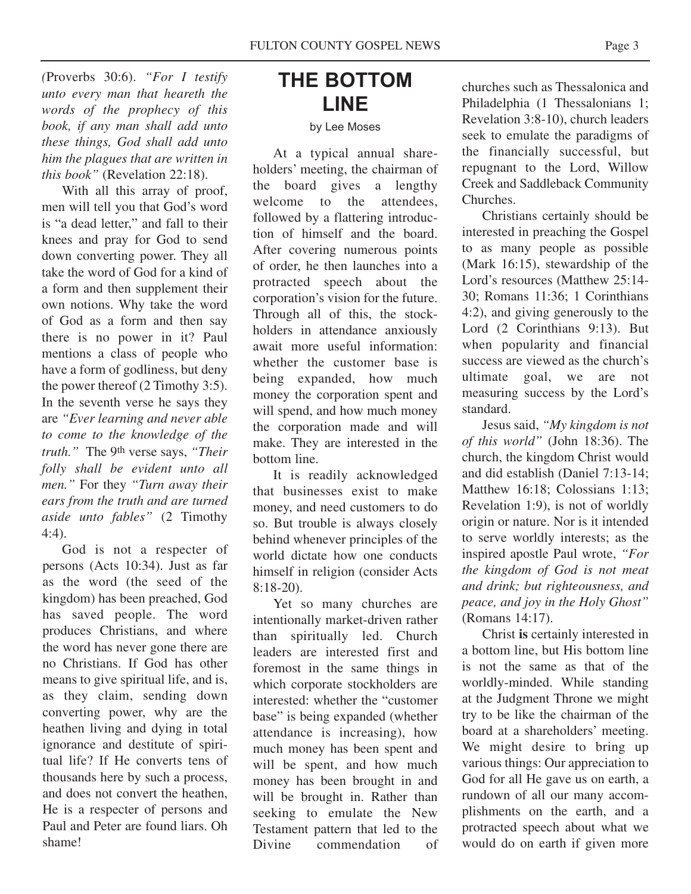*(*Proverbs 30:6). *"For I testify unto every man that heareth the words of the prophecy of this book, if any man shall add unto these things, God shall add unto him the plagues that are written in this book"* (Revelation 22:18).

With all this array of proof, men will tell you that God's word is "a dead letter," and fall to their knees and pray for God to send down converting power. They all take the word of God for a kind of a form and then supplement their own notions. Why take the word of God as a form and then say there is no power in it? Paul mentions a class of people who have a form of godliness, but deny the power thereof (2 Timothy 3:5). In the seventh verse he says they are *"Ever learning and never able to come to the knowledge of the truth."* The 9th verse says, *"Their folly shall be evident unto all men."* For they *"Turn away their ears from the truth and are turned aside unto fables"* (2 Timothy 4:4).

God is not a respecter of persons (Acts 10:34). Just as far as the word (the seed of the kingdom) has been preached, God has saved people. The word produces Christians, and where the word has never gone there are no Christians. If God has other means to give spiritual life, and is, as they claim, sending down converting power, why are the heathen living and dying in total ignorance and destitute of spiritual life? If He converts tens of thousands here by such a process, and does not convert the heathen, He is a respecter of persons and Paul and Peter are found liars. Oh shame!

# **THE BOTTOM LINE**

#### by Lee Moses

At a typical annual shareholders' meeting, the chairman of the board gives a lengthy welcome to the attendees, followed by a flattering introduction of himself and the board. After covering numerous points of order, he then launches into a protracted speech about the corporation's vision for the future. Through all of this, the stockholders in attendance anxiously await more useful information: whether the customer base is being expanded, how much money the corporation spent and will spend, and how much money the corporation made and will make. They are interested in the bottom line.

It is readily acknowledged that businesses exist to make money, and need customers to do so. But trouble is always closely behind whenever principles of the world dictate how one conducts himself in religion (consider Acts 8:18-20).

Yet so many churches are intentionally market-driven rather than spiritually led. Church leaders are interested first and foremost in the same things in which corporate stockholders are interested: whether the "customer base" is being expanded (whether attendance is increasing), how much money has been spent and will be spent, and how much money has been brought in and will be brought in. Rather than seeking to emulate the New Testament pattern that led to the<br>Divine commendation of commendation of churches such as Thessalonica and Philadelphia (1 Thessalonians 1; Revelation 3:8-10), church leaders seek to emulate the paradigms of the financially successful, but repugnant to the Lord, Willow Creek and Saddleback Community Churches.

Christians certainly should be interested in preaching the Gospel to as many people as possible (Mark 16:15), stewardship of the Lord's resources (Matthew 25:14- 30; Romans 11:36; 1 Corinthians 4:2), and giving generously to the Lord (2 Corinthians 9:13). But when popularity and financial success are viewed as the church's ultimate goal, we are not measuring success by the Lord's standard.

Jesus said, *"My kingdom is not of this world"* (John 18:36). The church, the kingdom Christ would and did establish (Daniel 7:13-14; Matthew 16:18; Colossians 1:13; Revelation 1:9), is not of worldly origin or nature. Nor is it intended to serve worldly interests; as the inspired apostle Paul wrote, *"For the kingdom of God is not meat and drink; but righteousness, and peace, and joy in the Holy Ghost"* (Romans 14:17).

Christ **is** certainly interested in a bottom line, but His bottom line is not the same as that of the worldly-minded. While standing at the Judgment Throne we might try to be like the chairman of the board at a shareholders' meeting. We might desire to bring up various things: Our appreciation to God for all He gave us on earth, a rundown of all our many accomplishments on the earth, and a protracted speech about what we would do on earth if given more